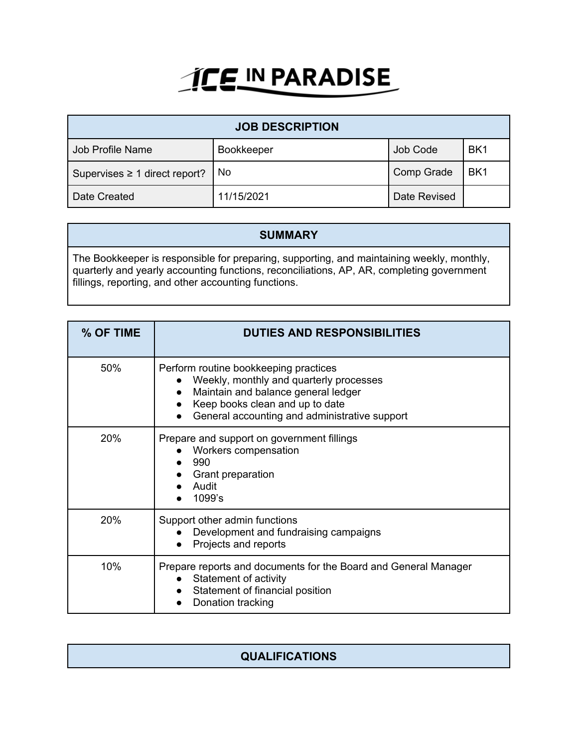## **ICE IN PARADISE**

| <b>JOB DESCRIPTION</b>             |                   |              |                 |  |
|------------------------------------|-------------------|--------------|-----------------|--|
| Job Profile Name                   | <b>Bookkeeper</b> | Job Code     | BK <sub>1</sub> |  |
| Supervises $\geq 1$ direct report? | No.               | Comp Grade   | BK <sub>1</sub> |  |
| Date Created                       | 11/15/2021        | Date Revised |                 |  |

## **SUMMARY**

The Bookkeeper is responsible for preparing, supporting, and maintaining weekly, monthly, quarterly and yearly accounting functions, reconciliations, AP, AR, completing government fillings, reporting, and other accounting functions.

| % OF TIME | <b>DUTIES AND RESPONSIBILITIES</b>                                                                                                                                                                          |
|-----------|-------------------------------------------------------------------------------------------------------------------------------------------------------------------------------------------------------------|
| 50%       | Perform routine bookkeeping practices<br>Weekly, monthly and quarterly processes<br>Maintain and balance general ledger<br>Keep books clean and up to date<br>General accounting and administrative support |
| 20%       | Prepare and support on government fillings<br>Workers compensation<br>990<br>Grant preparation<br>Audit<br>1099's                                                                                           |
| 20%       | Support other admin functions<br>Development and fundraising campaigns<br>Projects and reports                                                                                                              |
| 10%       | Prepare reports and documents for the Board and General Manager<br>Statement of activity<br>Statement of financial position<br>Donation tracking                                                            |

| <b>QUALIFICATIONS</b> |
|-----------------------|
|                       |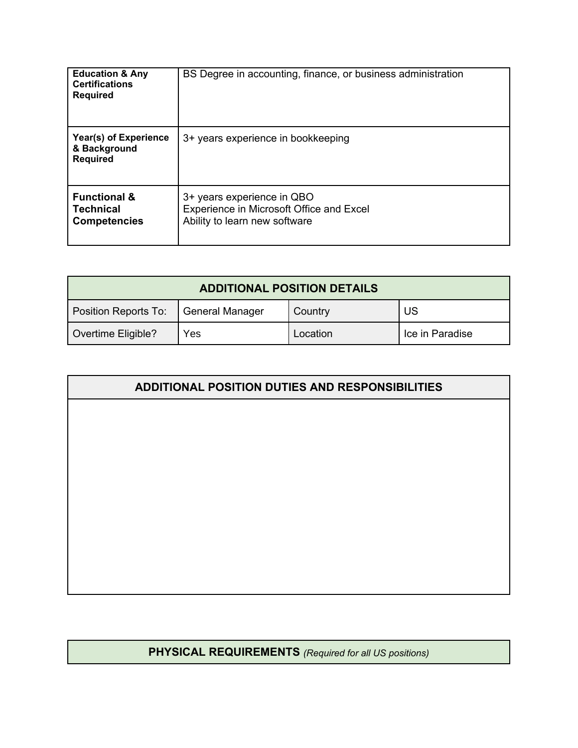| <b>Education &amp; Any</b><br><b>Certifications</b><br><b>Required</b> | BS Degree in accounting, finance, or business administration                                            |
|------------------------------------------------------------------------|---------------------------------------------------------------------------------------------------------|
| Year(s) of Experience<br>& Background<br><b>Required</b>               | 3+ years experience in bookkeeping                                                                      |
| <b>Functional &amp;</b><br>Technical<br><b>Competencies</b>            | 3+ years experience in QBO<br>Experience in Microsoft Office and Excel<br>Ability to learn new software |

| <b>ADDITIONAL POSITION DETAILS</b> |                 |          |                 |
|------------------------------------|-----------------|----------|-----------------|
| Position Reports To:               | General Manager | Country  | US              |
| Overtime Eligible?                 | Yes             | Location | Ice in Paradise |

| ADDITIONAL POSITION DUTIES AND RESPONSIBILITIES |
|-------------------------------------------------|
|                                                 |
|                                                 |
|                                                 |
|                                                 |
|                                                 |
|                                                 |
|                                                 |
|                                                 |
|                                                 |

## **PHYSICAL REQUIREMENTS** *(Required for all US positions)*